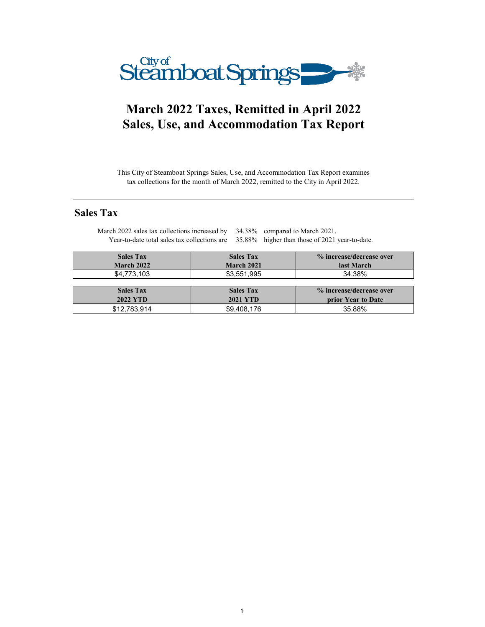

# **March 2022 Taxes, Remitted in April 2022 Sales, Use, and Accommodation Tax Report**

This City of Steamboat Springs Sales, Use, and Accommodation Tax Report examines tax collections for the month of March 2022, remitted to the City in April 2022.

## **Sales Tax**

| <b>Sales Tax</b> | <b>Sales Tax</b> | % increase/decrease over |
|------------------|------------------|--------------------------|
| March 2022       | March 2021       | last March               |
| \$4,773,103      | \$3,551,995      | 34.38%                   |
| <b>Sales Tax</b> | <b>Sales Tax</b> | % increase/decrease over |
| <b>2022 YTD</b>  | <b>2021 YTD</b>  | prior Year to Date       |
| \$12,783,914     | \$9,408,176      | 35.88%                   |

March 2022 sales tax collections increased by 34.38% compared to March 2021. Year-to-date total sales tax collections are 35.88% higher than those of 2021 year-to-date.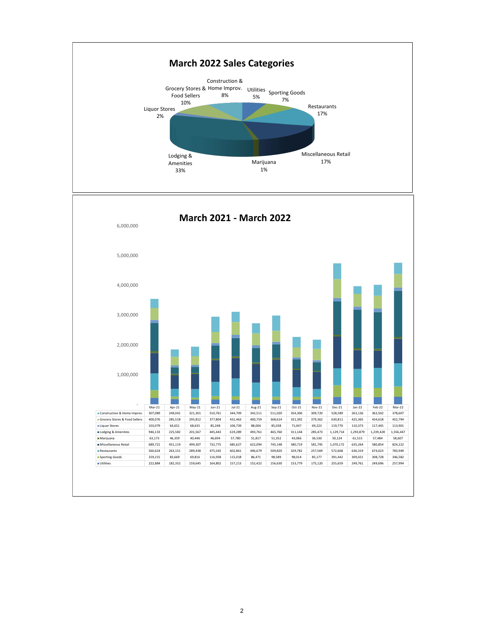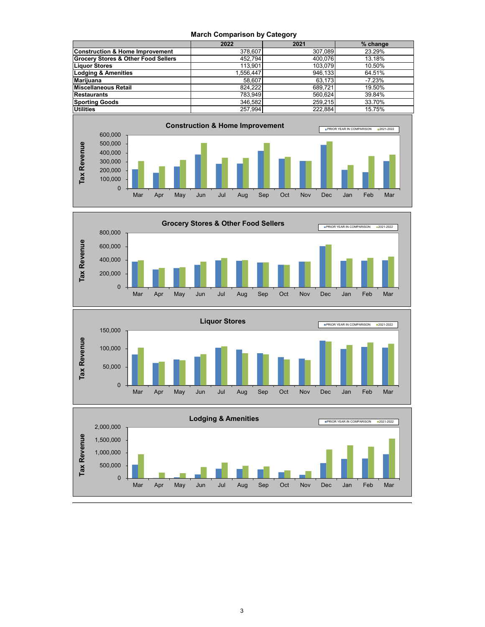#### **March Comparison by Category**

|                                                | 2022      | 2021    | % change |
|------------------------------------------------|-----------|---------|----------|
| <b>Construction &amp; Home Improvement</b>     | 378,607   | 307.089 | 23.29%   |
| <b>Grocery Stores &amp; Other Food Sellers</b> | 452.794   | 400.076 | 13.18%   |
| <b>Liquor Stores</b>                           | 113.901   | 103.079 | 10.50%   |
| <b>Lodging &amp; Amenities</b>                 | 1.556.447 | 946.133 | 64.51%   |
| <b>Marijuana</b>                               | 58.607    | 63.173  | $-7.23%$ |
| Miscellaneous Retail                           | 824.222   | 689.721 | 19.50%   |
| <b>Restaurants</b>                             | 783.949   | 560.624 | 39.84%   |
| <b>Sporting Goods</b>                          | 346.582   | 259.215 | 33.70%   |
| <b>Utilities</b>                               | 257.994   | 222.884 | 15.75%   |







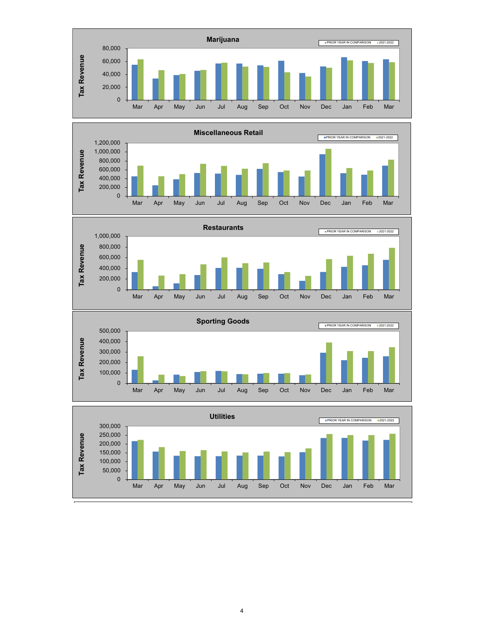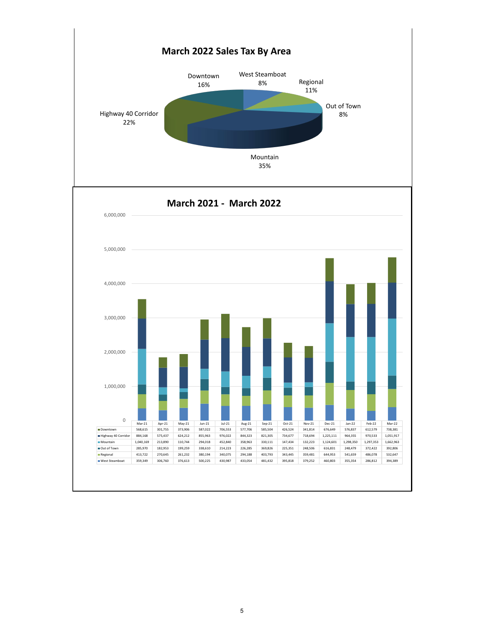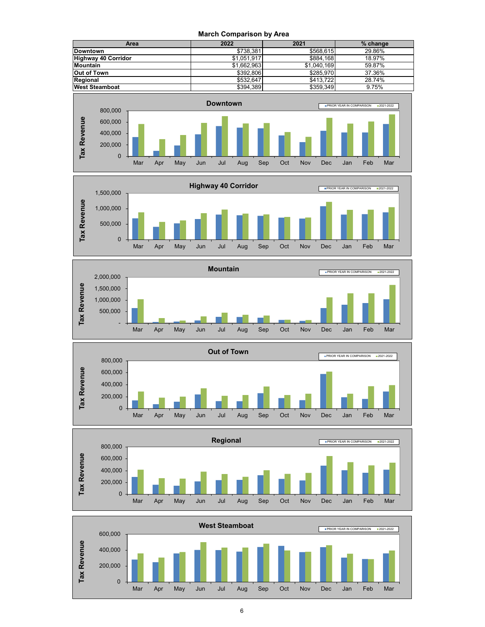**March Comparison by Area**













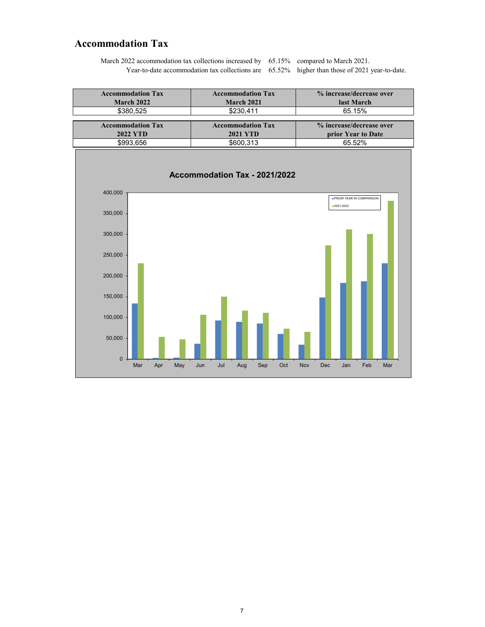### **Accommodation Tax**

March 2022 accommodation tax collections increased by 65.15% compared to March 2021. Year-to-date accommodation tax collections are 65.52% higher than those of 2021 year-to-date.

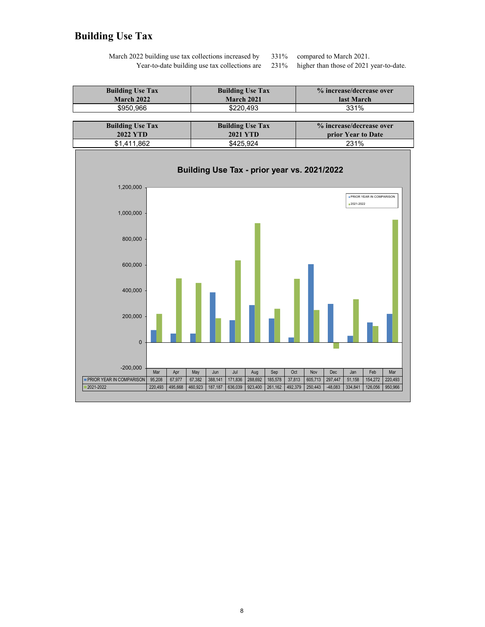## **Building Use Tax**

March 2022 building use tax collections increased by Year-to-date building use tax collections are

331% compared to March 2021.<br>231% higher than those of 2021

higher than those of 2021 year-to-date.

| <b>Building Use Tax</b> | <b>Building Use Tax</b> | % increase/decrease over |
|-------------------------|-------------------------|--------------------------|
| March 2022              | <b>March 2021</b>       | last March               |
| \$950.966               | \$220.493               | 331%                     |

| <b>Building Use Tax</b> | <b>Building Use Tax</b> | % increase/decrease over  |
|-------------------------|-------------------------|---------------------------|
| 2022 YTD                | 2021 YTD                | <b>prior Year to Date</b> |
| \$1.411.862             | \$425.924               | 231%                      |

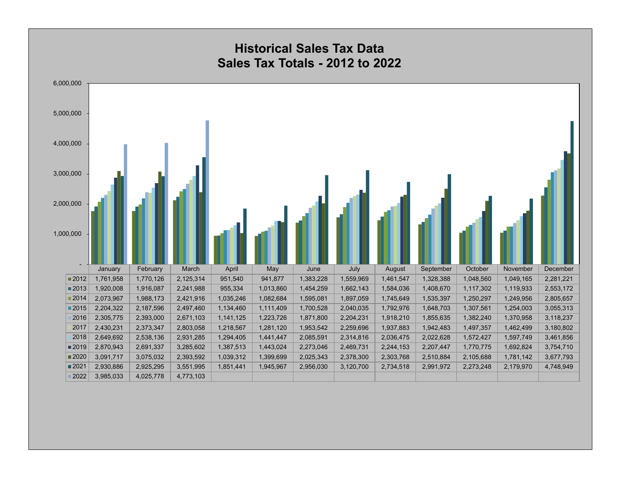